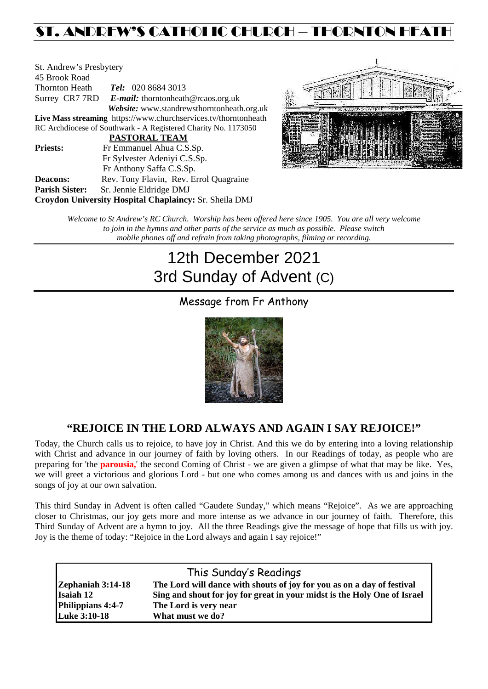## ST. ANDREW'S CATHOLIC CHURCH – THORNTON HEATH

| St. Andrew's Presbytery                                         |  |  |  |  |
|-----------------------------------------------------------------|--|--|--|--|
|                                                                 |  |  |  |  |
| <b>Tel:</b> 020 8684 3013<br>Thornton Heath                     |  |  |  |  |
| Surrey CR7 7RD E-mail: thorntonheath@rcaos.org.uk               |  |  |  |  |
| Website: www.standrewsthorntonheath.org.uk                      |  |  |  |  |
| Live Mass streaming https://www.churchservices.tv/thorntonheath |  |  |  |  |
| RC Archdiocese of Southwark - A Registered Charity No. 1173050  |  |  |  |  |
| <b>PASTORAL TEAM</b>                                            |  |  |  |  |
| Fr Emmanuel Ahua C.S.Sp.                                        |  |  |  |  |
| Fr Sylvester Adeniyi C.S.Sp.                                    |  |  |  |  |
| Fr Anthony Saffa C.S.Sp.                                        |  |  |  |  |
| Rev. Tony Flavin, Rev. Errol Quagraine                          |  |  |  |  |
| Sr. Jennie Eldridge DMJ                                         |  |  |  |  |
| Croydon University Hospital Chaplaincy: Sr. Sheila DMJ          |  |  |  |  |
|                                                                 |  |  |  |  |



*Welcome to St Andrew's RC Church. Worship has been offered here since 1905. You are all very welcome to join in the hymns and other parts of the service as much as possible. Please switch mobile phones off and refrain from taking photographs, filming or recording.*

# 12th December 2021 3rd Sunday of Advent (C)

### Message from Fr Anthony



### **"REJOICE IN THE LORD ALWAYS AND AGAIN I SAY REJOICE!"**

Today, the Church calls us to rejoice, to have joy in Christ. And this we do by entering into a loving relationship with Christ and advance in our journey of faith by loving others. In our Readings of today, as people who are preparing for 'the **parousia,**' the second Coming of Christ - we are given a glimpse of what that may be like. Yes, we will greet a victorious and glorious Lord - but one who comes among us and dances with us and joins in the songs of joy at our own salvation.

This third Sunday in Advent is often called "Gaudete Sunday," which means "Rejoice". As we are approaching closer to Christmas, our joy gets more and more intense as we advance in our journey of faith. Therefore, this Third Sunday of Advent are a hymn to joy. All the three Readings give the message of hope that fills us with joy. Joy is the theme of today: "Rejoice in the Lord always and again I say rejoice!"

|                     | This Sunday's Readings                                                   |
|---------------------|--------------------------------------------------------------------------|
| Zephaniah 3:14-18   | The Lord will dance with shouts of joy for you as on a day of festival   |
| <b>Isaiah 12</b>    | Sing and shout for joy for great in your midst is the Holy One of Israel |
| Philippians 4:4-7   | The Lord is very near                                                    |
| <b>Luke 3:10-18</b> | What must we do?                                                         |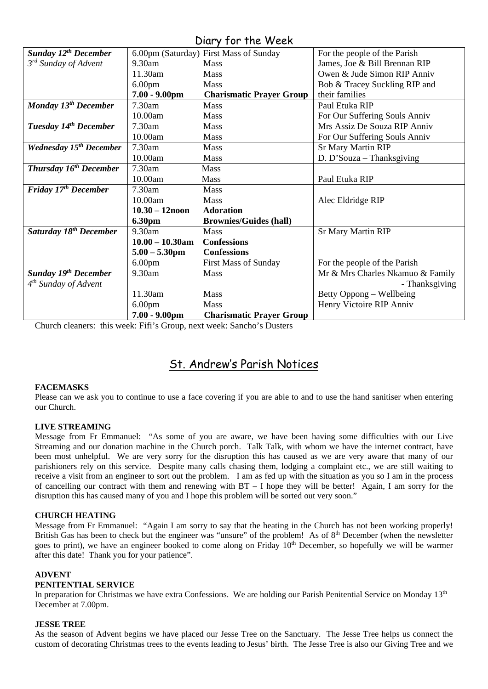### Diary for the Week

| <b>Sunday 12th December</b>        |                    | 6.00pm (Saturday) First Mass of Sunday | For the people of the Parish     |
|------------------------------------|--------------------|----------------------------------------|----------------------------------|
| 3 <sup>rd</sup> Sunday of Advent   | 9.30am             | <b>Mass</b>                            | James, Joe & Bill Brennan RIP    |
|                                    | 11.30am            | Mass                                   | Owen & Jude Simon RIP Anniv      |
|                                    | 6.00 <sub>pm</sub> | <b>Mass</b>                            | Bob & Tracey Suckling RIP and    |
|                                    | $7.00 - 9.00$ pm   | <b>Charismatic Prayer Group</b>        | their families                   |
|                                    |                    |                                        |                                  |
| Monday 13 <sup>th</sup> December   | $7.30$ am          | <b>Mass</b>                            | Paul Etuka RIP                   |
|                                    | 10.00am            | <b>Mass</b>                            | For Our Suffering Souls Anniv    |
| Tuesday 14 <sup>th</sup> December  | 7.30am             | <b>Mass</b>                            | Mrs Assiz De Souza RIP Anniv     |
|                                    | 10.00am            | <b>Mass</b>                            | For Our Suffering Souls Anniv    |
| <b>Wednesday 15th December</b>     | 7.30am             | <b>Mass</b>                            | <b>Sr Mary Martin RIP</b>        |
|                                    | 10.00am            | <b>Mass</b>                            | D. D'Souza – Thanksgiving        |
| <b>Thursday 16th December</b>      | 7.30am             | <b>Mass</b>                            |                                  |
|                                    | 10.00am            | <b>Mass</b>                            | Paul Etuka RIP                   |
| Friday 17 <sup>th</sup> December   | $7.30$ am          | <b>Mass</b>                            |                                  |
|                                    | 10.00am            | <b>Mass</b>                            | Alec Eldridge RIP                |
|                                    | $10.30 - 12$ noon  | <b>Adoration</b>                       |                                  |
|                                    | 6.30pm             | <b>Brownies/Guides (hall)</b>          |                                  |
| Saturday 18 <sup>th</sup> December | 9.30am             | <b>Mass</b>                            | <b>Sr Mary Martin RIP</b>        |
|                                    | $10.00 - 10.30$ am | <b>Confessions</b>                     |                                  |
|                                    | $5.00 - 5.30$ pm   | <b>Confessions</b>                     |                                  |
|                                    | 6.00 <sub>pm</sub> | <b>First Mass of Sunday</b>            | For the people of the Parish     |
| Sunday 19th December               | 9.30am             | <b>Mass</b>                            | Mr & Mrs Charles Nkamuo & Family |
| $4th$ Sunday of Advent             |                    |                                        | - Thanksgiving                   |
|                                    | 11.30am            | Mass                                   | Betty Oppong – Wellbeing         |
|                                    | 6.00 <sub>pm</sub> | <b>Mass</b>                            | Henry Victoire RIP Anniv         |
|                                    | $7.00 - 9.00$ pm   | <b>Charismatic Prayer Group</b>        |                                  |

Church cleaners: this week: Fifi's Group, next week: Sancho's Dusters

### St. Andrew's Parish Notices

#### **FACEMASKS**

Please can we ask you to continue to use a face covering if you are able to and to use the hand sanitiser when entering our Church.

#### **LIVE STREAMING**

Message from Fr Emmanuel: "As some of you are aware, we have been having some difficulties with our Live Streaming and our donation machine in the Church porch. Talk Talk, with whom we have the internet contract, have been most unhelpful. We are very sorry for the disruption this has caused as we are very aware that many of our parishioners rely on this service. Despite many calls chasing them, lodging a complaint etc., we are still waiting to receive a visit from an engineer to sort out the problem. I am as fed up with the situation as you so I am in the process of cancelling our contract with them and renewing with BT – I hope they will be better! Again, I am sorry for the disruption this has caused many of you and I hope this problem will be sorted out very soon."

#### **CHURCH HEATING**

Message from Fr Emmanuel: "Again I am sorry to say that the heating in the Church has not been working properly! British Gas has been to check but the engineer was "unsure" of the problem! As of 8<sup>th</sup> December (when the newsletter goes to print), we have an engineer booked to come along on Friday 10<sup>th</sup> December, so hopefully we will be warmer after this date! Thank you for your patience".

#### **ADVENT**

#### **PENITENTIAL SERVICE**

In preparation for Christmas we have extra Confessions. We are holding our Parish Penitential Service on Monday 13<sup>th</sup> December at 7.00pm.

#### **JESSE TREE**

As the season of Advent begins we have placed our Jesse Tree on the Sanctuary. The Jesse Tree helps us connect the custom of decorating Christmas trees to the events leading to Jesus' birth. The Jesse Tree is also our Giving Tree and we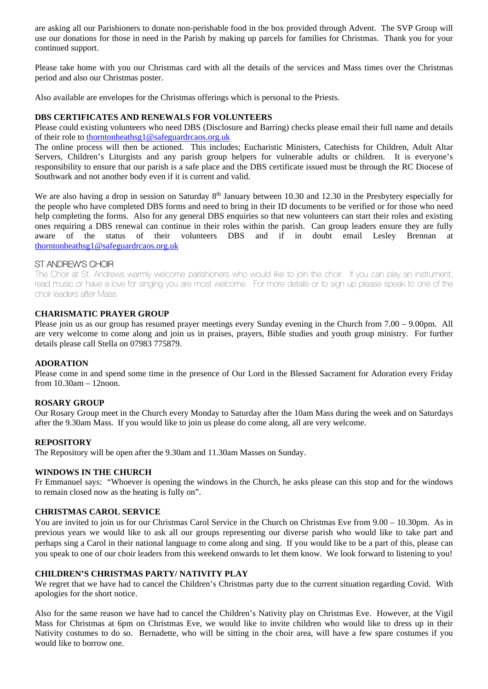are asking all our Parishioners to donate non-perishable food in the box provided through Advent. The SVP Group will use our donations for those in need in the Parish by making up parcels for families for Christmas. Thank you for your continued support.

Please take home with you our Christmas card with all the details of the services and Mass times over the Christmas period and also our Christmas poster.

Also available are envelopes for the Christmas offerings which is personal to the Priests.

#### **DBS CERTIFICATES AND RENEWALS FOR VOLUNTEERS**

Please could existing volunteers who need DBS (Disclosure and Barring) checks please email their full name and details of their role to [thorntonheathsg1@safeguardrcaos.org.uk](mailto:thorntonheathsg1@safeguardrcaos.org.uk)

The online process will then be actioned. This includes; Eucharistic Ministers, Catechists for Children, Adult Altar Servers, Children's Liturgists and any parish group helpers for vulnerable adults or children. It is everyone's responsibility to ensure that our parish is a safe place and the DBS certificate issued must be through the RC Diocese of Southwark and not another body even if it is current and valid.

We are also having a drop in session on Saturday  $8<sup>th</sup>$  January between 10.30 and 12.30 in the Presbytery especially for the people who have completed DBS forms and need to bring in their ID documents to be verified or for those who need help completing the forms. Also for any general DBS enquiries so that new volunteers can start their roles and existing ones requiring a DBS renewal can continue in their roles within the parish. Can group leaders ensure they are fully aware of the status of their volunteers DBS and if in doubt email Lesley Brennan at [thorntonheathsg1@safeguardrcaos.org.uk](mailto:thorntonheathsg1@safeguardrcaos.org.uk)

#### ST ANDREW'S CHOIR

The Choir at St. Andrews warmly welcome parishioners who would like to join the choir. If you can play an instrument, read music or have a love for singing you are most welcome. For more details or to sign up please speak to one of the choir leaders after Mass.

#### **CHARISMATIC PRAYER GROUP**

Please join us as our group has resumed prayer meetings every Sunday evening in the Church from 7.00 – 9.00pm. All are very welcome to come along and join us in praises, prayers, Bible studies and youth group ministry. For further details please call Stella on 07983 775879.

#### **ADORATION**

Please come in and spend some time in the presence of Our Lord in the Blessed Sacrament for Adoration every Friday from 10.30am – 12noon.

#### **ROSARY GROUP**

Our Rosary Group meet in the Church every Monday to Saturday after the 10am Mass during the week and on Saturdays after the 9.30am Mass. If you would like to join us please do come along, all are very welcome.

#### **REPOSITORY**

The Repository will be open after the 9.30am and 11.30am Masses on Sunday.

#### **WINDOWS IN THE CHURCH**

Fr Emmanuel says: "Whoever is opening the windows in the Church, he asks please can this stop and for the windows to remain closed now as the heating is fully on".

#### **CHRISTMAS CAROL SERVICE**

You are invited to join us for our Christmas Carol Service in the Church on Christmas Eve from 9.00 – 10.30pm. As in previous years we would like to ask all our groups representing our diverse parish who would like to take part and perhaps sing a Carol in their national language to come along and sing. If you would like to be a part of this, please can you speak to one of our choir leaders from this weekend onwards to let them know. We look forward to listening to you!

#### **CHILDREN'S CHRISTMAS PARTY/ NATIVITY PLAY**

We regret that we have had to cancel the Children's Christmas party due to the current situation regarding Covid. With apologies for the short notice.

Also for the same reason we have had to cancel the Children's Nativity play on Christmas Eve. However, at the Vigil Mass for Christmas at 6pm on Christmas Eve, we would like to invite children who would like to dress up in their Nativity costumes to do so. Bernadette, who will be sitting in the choir area, will have a few spare costumes if you would like to borrow one.